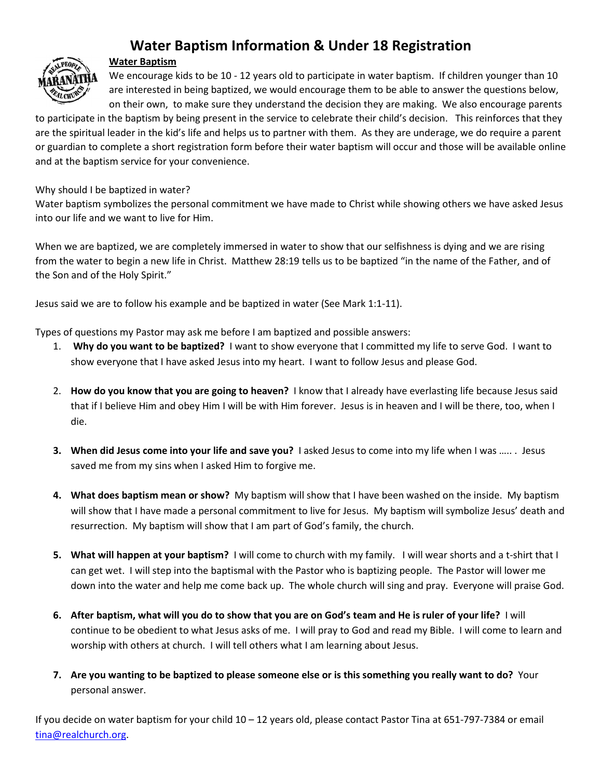## **Water Baptism Information & Under 18 Registration**

### **Water Baptism**

We encourage kids to be 10 - 12 years old to participate in water baptism. If children younger than 10 are interested in being baptized, we would encourage them to be able to answer the questions below, on their own, to make sure they understand the decision they are making. We also encourage parents

to participate in the baptism by being present in the service to celebrate their child's decision. This reinforces that they are the spiritual leader in the kid's life and helps us to partner with them. As they are underage, we do require a parent or guardian to complete a short registration form before their water baptism will occur and those will be available online and at the baptism service for your convenience.

#### Why should I be baptized in water?

Water baptism symbolizes the personal commitment we have made to Christ while showing others we have asked Jesus into our life and we want to live for Him.

When we are baptized, we are completely immersed in water to show that our selfishness is dying and we are rising from the water to begin a new life in Christ. Matthew 28:19 tells us to be baptized "in the name of the Father, and of the Son and of the Holy Spirit."

Jesus said we are to follow his example and be baptized in water (See Mark 1:1-11).

Types of questions my Pastor may ask me before I am baptized and possible answers:

- 1. **Why do you want to be baptized?** I want to show everyone that I committed my life to serve God. I want to show everyone that I have asked Jesus into my heart. I want to follow Jesus and please God.
- 2. **How do you know that you are going to heaven?** I know that I already have everlasting life because Jesus said that if I believe Him and obey Him I will be with Him forever. Jesus is in heaven and I will be there, too, when I die.
- **3. When did Jesus come into your life and save you?** I asked Jesus to come into my life when I was ….. . Jesus saved me from my sins when I asked Him to forgive me.
- **4. What does baptism mean or show?** My baptism will show that I have been washed on the inside. My baptism will show that I have made a personal commitment to live for Jesus. My baptism will symbolize Jesus' death and resurrection. My baptism will show that I am part of God's family, the church.
- **5. What will happen at your baptism?** I will come to church with my family. I will wear shorts and a t-shirt that I can get wet. I will step into the baptismal with the Pastor who is baptizing people. The Pastor will lower me down into the water and help me come back up. The whole church will sing and pray. Everyone will praise God.
- **6. After baptism, what will you do to show that you are on God's team and He is ruler of your life?** I will continue to be obedient to what Jesus asks of me. I will pray to God and read my Bible. I will come to learn and worship with others at church. I will tell others what I am learning about Jesus.
- **7. Are you wanting to be baptized to please someone else or is this something you really want to do?** Your personal answer.

If you decide on water baptism for your child 10 – 12 years old, please contact Pastor Tina at 651-797-7384 or email [tina@realchurch.org.](mailto:tina@realchurch.org)